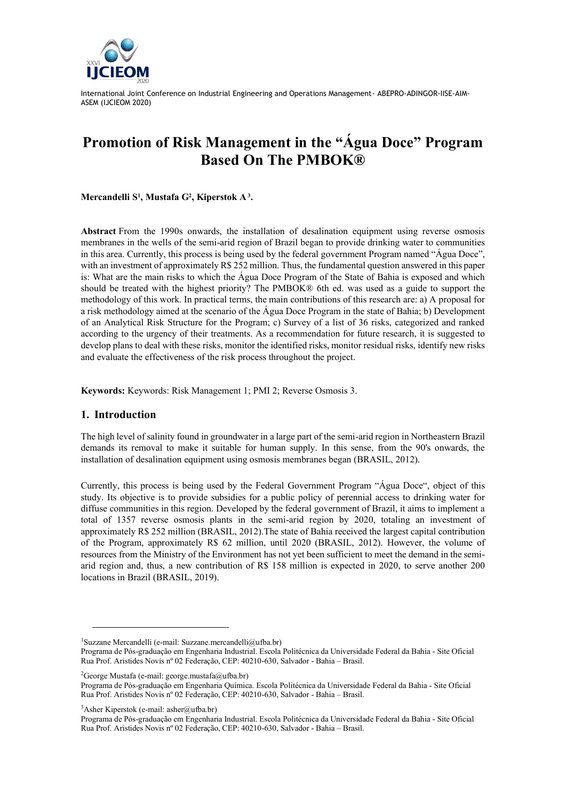

# **Promotion of Risk Management in the "Água Doce" Program Based On The PMBOK®**

**Mercandelli S<sup>1</sup> , Mustafa G<sup>2</sup> , Kiperstok A<sup>3</sup> .**

**Abstract** From the 1990s onwards, the installation of desalination equipment using reverse osmosis membranes in the wells of the semi-arid region of Brazil began to provide drinking water to communities in this area. Currently, this process is being used by the federal government Program named "Água Doce", with an investment of approximately R\$ 252 million. Thus, the fundamental question answered in this paper is: What are the main risks to which the Água Doce Program of the State of Bahia is exposed and which should be treated with the highest priority? The PMBOK® 6th ed. was used as a guide to support the methodology of this work. In practical terms, the main contributions of this research are: a) A proposal for a risk methodology aimed at the scenario of the Água Doce Program in the state of Bahia; b) Development of an Analytical Risk Structure for the Program; c) Survey of a list of 36 risks, categorized and ranked according to the urgency of their treatments. As a recommendation for future research, it is suggested to develop plans to deal with these risks, monitor the identified risks, monitor residual risks, identify new risks and evaluate the effectiveness of the risk process throughout the project.

**Keywords:** Keywords: Risk Management 1; PMI 2; Reverse Osmosis 3.

# **1. Introduction**

The high level of salinity found in groundwater in a large part of the semi-arid region in Northeastern Brazil demands its removal to make it suitable for human supply. In this sense, from the 90's onwards, the installation of desalination equipment using osmosis membranes began (BRASIL, 2012).

Currently, this process is being used by the Federal Government Program "Água Doce", object of this study. Its objective is to provide subsidies for a public policy of perennial access to drinking water for diffuse communities in this region. Developed by the federal government of Brazil, it aims to implement a total of 1357 reverse osmosis plants in the semi-arid region by 2020, totaling an investment of approximately R\$ 252 million (BRASIL, 2012).The state of Bahia received the largest capital contribution of the Program, approximately R\$ 62 million, until 2020 (BRASIL, 2012). However, the volume of resources from the Ministry of the Environment has not yet been sufficient to meet the demand in the semiarid region and, thus, a new contribution of R\$ 158 million is expected in 2020, to serve another 200 locations in Brazil (BRASIL, 2019).

<sup>2</sup>George Mustafa (e-mail: george.mustafa@ufba.br)

 $3$ Asher Kiperstok (e-mail: asher@ufba.br)

<sup>&</sup>lt;sup>1</sup>Suzzane Mercandelli (e-mail: Suzzane.mercandelli@ufba.br)

Programa de Pós-graduação em Engenharia Industrial. Escola Politécnica da Universidade Federal da Bahia - Site Oficial Rua Prof. Aristides Novis nº 02 Federação, CEP: 40210-630, Salvador - Bahia – Brasil.

Programa de Pós-graduação em Engenharia Química. Escola Politécnica da Universidade Federal da Bahia - Site Oficial Rua Prof. Aristides Novis nº 02 Federação, CEP: 40210-630, Salvador - Bahia – Brasil.

Programa de Pós-graduação em Engenharia Industrial. Escola Politécnica da Universidade Federal da Bahia - Site Oficial Rua Prof. Aristides Novis nº 02 Federação, CEP: 40210-630, Salvador - Bahia – Brasil.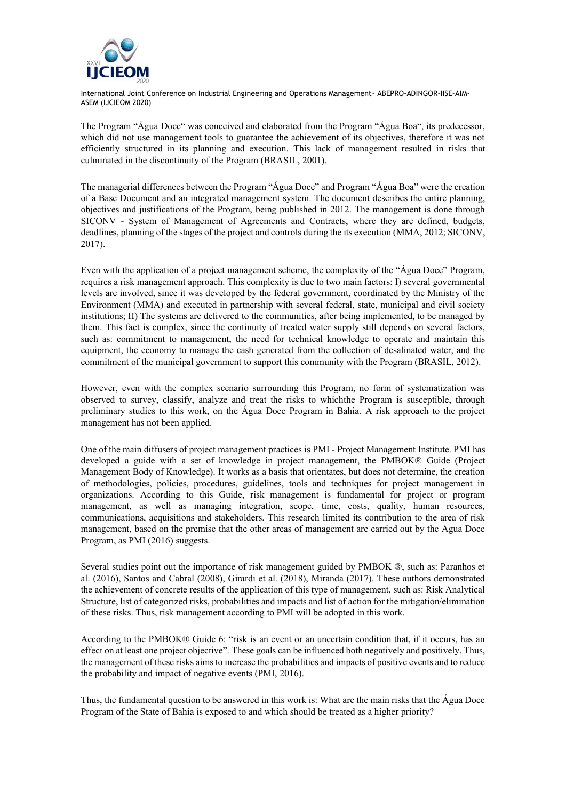

The Program "Água Doce" was conceived and elaborated from the Program "Água Boa", its predecessor, which did not use management tools to guarantee the achievement of its objectives, therefore it was not efficiently structured in its planning and execution. This lack of management resulted in risks that culminated in the discontinuity of the Program (BRASIL, 2001).

The managerial differences between the Program "Água Doce" and Program "Água Boa" were the creation of a Base Document and an integrated management system. The document describes the entire planning, objectives and justifications of the Program, being published in 2012. The management is done through SICONV - System of Management of Agreements and Contracts, where they are defined, budgets, deadlines, planning of the stages of the project and controls during the its execution (MMA, 2012; SICONV, 2017).

Even with the application of a project management scheme, the complexity of the "Água Doce" Program, requires a risk management approach. This complexity is due to two main factors: I) several governmental levels are involved, since it was developed by the federal government, coordinated by the Ministry of the Environment (MMA) and executed in partnership with several federal, state, municipal and civil society institutions; II) The systems are delivered to the communities, after being implemented, to be managed by them. This fact is complex, since the continuity of treated water supply still depends on several factors, such as: commitment to management, the need for technical knowledge to operate and maintain this equipment, the economy to manage the cash generated from the collection of desalinated water, and the commitment of the municipal government to support this community with the Program (BRASIL, 2012).

However, even with the complex scenario surrounding this Program, no form of systematization was observed to survey, classify, analyze and treat the risks to whichthe Program is susceptible, through preliminary studies to this work, on the Água Doce Program in Bahia. A risk approach to the project management has not been applied.

One of the main diffusers of project management practices is PMI - Project Management Institute. PMI has developed a guide with a set of knowledge in project management, the PMBOK® Guide (Project Management Body of Knowledge). It works as a basis that orientates, but does not determine, the creation of methodologies, policies, procedures, guidelines, tools and techniques for project management in organizations. According to this Guide, risk management is fundamental for project or program management, as well as managing integration, scope, time, costs, quality, human resources, communications, acquisitions and stakeholders. This research limited its contribution to the area of risk management, based on the premise that the other areas of management are carried out by the Agua Doce Program, as PMI (2016) suggests.

Several studies point out the importance of risk management guided by PMBOK ®, such as: Paranhos et al. (2016), Santos and Cabral (2008), Girardi et al. (2018), Miranda (2017). These authors demonstrated the achievement of concrete results of the application of this type of management, such as: Risk Analytical Structure, list of categorized risks, probabilities and impacts and list of action for the mitigation/elimination of these risks. Thus, risk management according to PMI will be adopted in this work.

According to the PMBOK® Guide 6: "risk is an event or an uncertain condition that, if it occurs, has an effect on at least one project objective". These goals can be influenced both negatively and positively. Thus, the management of these risks aims to increase the probabilities and impacts of positive events and to reduce the probability and impact of negative events (PMI, 2016).

Thus, the fundamental question to be answered in this work is: What are the main risks that the Água Doce Program of the State of Bahia is exposed to and which should be treated as a higher priority?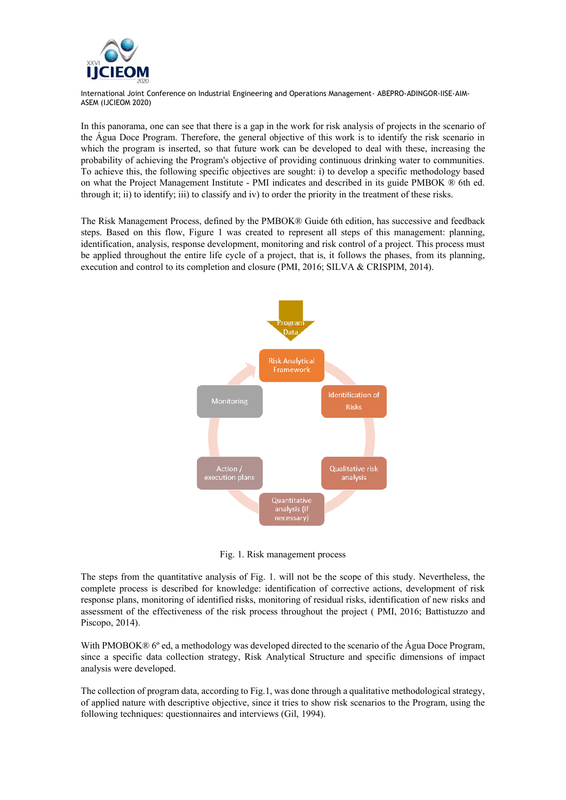

In this panorama, one can see that there is a gap in the work for risk analysis of projects in the scenario of the Água Doce Program. Therefore, the general objective of this work is to identify the risk scenario in which the program is inserted, so that future work can be developed to deal with these, increasing the probability of achieving the Program's objective of providing continuous drinking water to communities. To achieve this, the following specific objectives are sought: i) to develop a specific methodology based on what the Project Management Institute - PMI indicates and described in its guide PMBOK ® 6th ed. through it; ii) to identify; iii) to classify and iv) to order the priority in the treatment of these risks.

The Risk Management Process, defined by the PMBOK® Guide 6th edition, has successive and feedback steps. Based on this flow, Figure 1 was created to represent all steps of this management: planning, identification, analysis, response development, monitoring and risk control of a project. This process must be applied throughout the entire life cycle of a project, that is, it follows the phases, from its planning, execution and control to its completion and closure (PMI, 2016; SILVA & CRISPIM, 2014).



Fig. 1. Risk management process

The steps from the quantitative analysis of Fig. 1. will not be the scope of this study. Nevertheless, the complete process is described for knowledge: identification of corrective actions, development of risk response plans, monitoring of identified risks, monitoring of residual risks, identification of new risks and assessment of the effectiveness of the risk process throughout the project ( PMI, 2016; Battistuzzo and Piscopo, 2014).

With PMOBOK® 6° ed, a methodology was developed directed to the scenario of the Água Doce Program, since a specific data collection strategy, Risk Analytical Structure and specific dimensions of impact analysis were developed.

The collection of program data, according to Fig.1, was done through a qualitative methodological strategy, of applied nature with descriptive objective, since it tries to show risk scenarios to the Program, using the following techniques: questionnaires and interviews (Gil, 1994).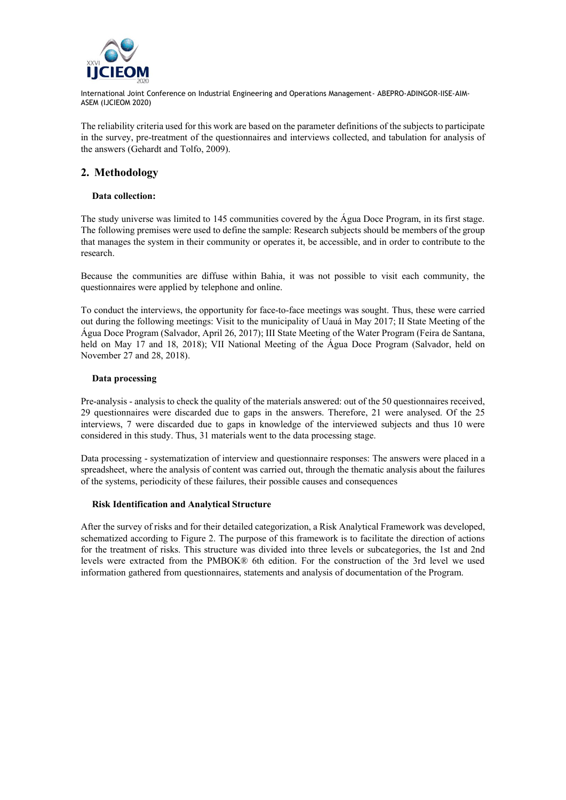

The reliability criteria used for this work are based on the parameter definitions of the subjects to participate in the survey, pre-treatment of the questionnaires and interviews collected, and tabulation for analysis of the answers (Gehardt and Tolfo, 2009).

# **2. Methodology**

## **Data collection:**

The study universe was limited to 145 communities covered by the Água Doce Program, in its first stage. The following premises were used to define the sample: Research subjects should be members of the group that manages the system in their community or operates it, be accessible, and in order to contribute to the research.

Because the communities are diffuse within Bahia, it was not possible to visit each community, the questionnaires were applied by telephone and online.

To conduct the interviews, the opportunity for face-to-face meetings was sought. Thus, these were carried out during the following meetings: Visit to the municipality of Uauá in May 2017; II State Meeting of the Água Doce Program (Salvador, April 26, 2017); III State Meeting of the Water Program (Feira de Santana, held on May 17 and 18, 2018); VII National Meeting of the Água Doce Program (Salvador, held on November 27 and 28, 2018).

## **Data processing**

Pre-analysis - analysis to check the quality of the materials answered: out of the 50 questionnaires received, 29 questionnaires were discarded due to gaps in the answers. Therefore, 21 were analysed. Of the 25 interviews, 7 were discarded due to gaps in knowledge of the interviewed subjects and thus 10 were considered in this study. Thus, 31 materials went to the data processing stage.

Data processing - systematization of interview and questionnaire responses: The answers were placed in a spreadsheet, where the analysis of content was carried out, through the thematic analysis about the failures of the systems, periodicity of these failures, their possible causes and consequences

#### **Risk Identification and Analytical Structure**

After the survey of risks and for their detailed categorization, a Risk Analytical Framework was developed, schematized according to Figure 2. The purpose of this framework is to facilitate the direction of actions for the treatment of risks. This structure was divided into three levels or subcategories, the 1st and 2nd levels were extracted from the PMBOK® 6th edition. For the construction of the 3rd level we used information gathered from questionnaires, statements and analysis of documentation of the Program.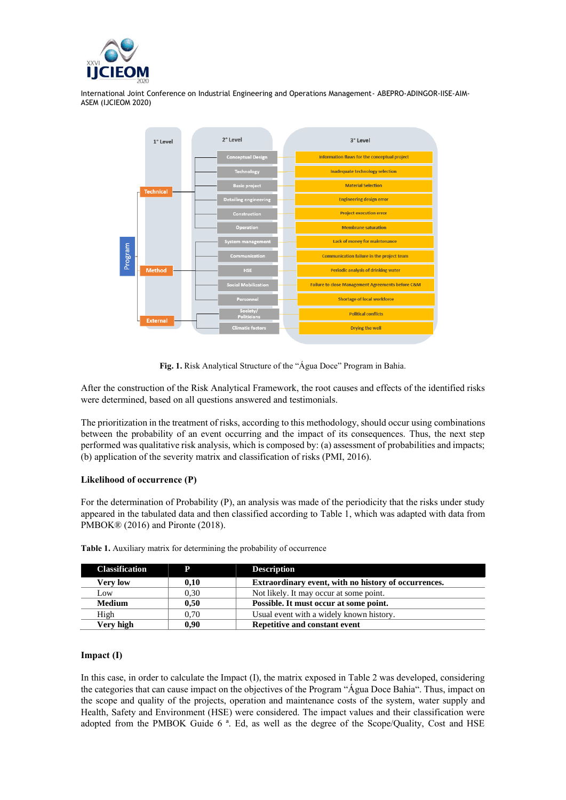



**Fig. 1.** Risk Analytical Structure of the "Água Doce" Program in Bahia.

After the construction of the Risk Analytical Framework, the root causes and effects of the identified risks were determined, based on all questions answered and testimonials.

The prioritization in the treatment of risks, according to this methodology, should occur using combinations between the probability of an event occurring and the impact of its consequences. Thus, the next step performed was qualitative risk analysis, which is composed by: (a) assessment of probabilities and impacts; (b) application of the severity matrix and classification of risks (PMI, 2016).

## **Likelihood of occurrence (P)**

For the determination of Probability (P), an analysis was made of the periodicity that the risks under study appeared in the tabulated data and then classified according to Table 1, which was adapted with data from PMBOK® (2016) and Pironte (2018).

| <b>Classification</b> | D    | <b>Description</b>                                   |  |  |
|-----------------------|------|------------------------------------------------------|--|--|
| Very low              | 0.10 | Extraordinary event, with no history of occurrences. |  |  |
| Low                   | 0.30 | Not likely. It may occur at some point.              |  |  |
| <b>Medium</b>         | 0.50 | Possible. It must occur at some point.               |  |  |
| High                  | 0.70 | Usual event with a widely known history.             |  |  |
| Verv high             | 0.90 | Repetitive and constant event                        |  |  |

**Table 1.** Auxiliary matrix for determining the probability of occurrence

#### **Impact (I)**

In this case, in order to calculate the Impact (I), the matrix exposed in Table 2 was developed, considering the categories that can cause impact on the objectives of the Program "Água Doce Bahia". Thus, impact on the scope and quality of the projects, operation and maintenance costs of the system, water supply and Health, Safety and Environment (HSE) were considered. The impact values and their classification were adopted from the PMBOK Guide 6 ª. Ed, as well as the degree of the Scope/Quality, Cost and HSE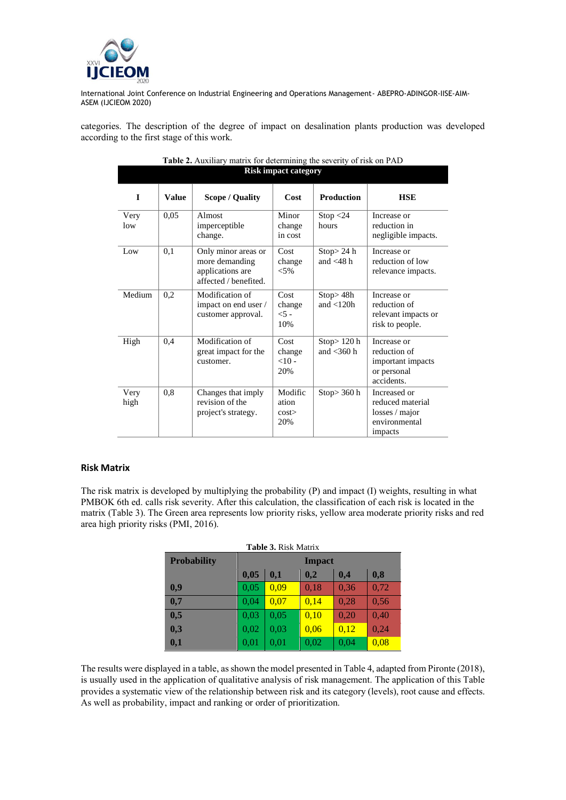

categories. The description of the degree of impact on desalination plants production was developed according to the first stage of this work.

|              | <b>Risk impact category</b> |                                                                                    |                                  |                                |                                                                                |  |  |  |  |
|--------------|-----------------------------|------------------------------------------------------------------------------------|----------------------------------|--------------------------------|--------------------------------------------------------------------------------|--|--|--|--|
| I            | <b>Value</b>                | <b>Scope / Quality</b>                                                             | Cost                             | <b>Production</b>              | <b>HSE</b>                                                                     |  |  |  |  |
| Very<br>low  | 0,05                        | Almost<br>imperceptible<br>change.                                                 | Minor<br>change<br>in cost       | Stop < 24<br>hours             | Increase or<br>reduction in<br>negligible impacts.                             |  |  |  |  |
| Low          | 0.1                         | Only minor areas or<br>more demanding<br>applications are<br>affected / benefited. | Cost<br>change<br>$< 5\%$        | Stop>24 h<br>and $<$ 48 h      | Increase or<br>reduction of low<br>relevance impacts.                          |  |  |  |  |
| Medium       | 0,2                         | Modification of<br>impact on end user /<br>customer approval.                      | Cost<br>change<br>$<$ 5 -<br>10% | Stop>48h<br>and $<$ 120 $h$    | Increase or<br>reduction of<br>relevant impacts or<br>risk to people.          |  |  |  |  |
| High         | 0,4                         | Modification of<br>great impact for the<br>customer.                               | Cost<br>change<br>$<10-$<br>20%  | Stop $>120$ h<br>and $<$ 360 h | Increase or<br>reduction of<br>important impacts<br>or personal<br>accidents.  |  |  |  |  |
| Very<br>high | 0,8                         | Changes that imply<br>revision of the<br>project's strategy.                       | Modific<br>ation<br>cost<br>20%  | Stop>360 h                     | Increased or<br>reduced material<br>losses / major<br>environmental<br>impacts |  |  |  |  |

| Table 2. Auxiliary matrix for determining the severity of risk on PAD |
|-----------------------------------------------------------------------|
| Risk impact category                                                  |

#### **Risk Matrix**

The risk matrix is developed by multiplying the probability (P) and impact (I) weights, resulting in what PMBOK 6th ed. calls risk severity. After this calculation, the classification of each risk is located in the matrix (Table 3). The Green area represents low priority risks, yellow area moderate priority risks and red area high priority risks (PMI, 2016).

| <b>Table 3. Risk Matrix</b><br><b>Probability</b><br><b>Impact</b><br>0,05<br>0,2<br>0,8<br>0,1<br>0,4<br>0,05<br>0,9<br>0,09<br>0,18<br>0,36<br>0,72<br>0,7<br>0,04<br>0.07<br>0.28<br>0,56<br>0,14 |      |      |      |      |      |  |  |
|------------------------------------------------------------------------------------------------------------------------------------------------------------------------------------------------------|------|------|------|------|------|--|--|
|                                                                                                                                                                                                      |      |      |      |      |      |  |  |
|                                                                                                                                                                                                      |      |      |      |      |      |  |  |
|                                                                                                                                                                                                      |      |      |      |      |      |  |  |
|                                                                                                                                                                                                      |      |      |      |      |      |  |  |
| 0,5                                                                                                                                                                                                  | 0,03 | 0,05 | 0,10 | 0.20 | 0,40 |  |  |
| 0,3                                                                                                                                                                                                  | 0,02 | 0,03 | 0,06 | 0,12 | 0,24 |  |  |
| 0,1                                                                                                                                                                                                  | 0,01 | 0,01 | 0,02 | 0,04 | 0,08 |  |  |

The results were displayed in a table, as shown the model presented in Table 4, adapted from Pironte (2018), is usually used in the application of qualitative analysis of risk management. The application of this Table provides a systematic view of the relationship between risk and its category (levels), root cause and effects. As well as probability, impact and ranking or order of prioritization.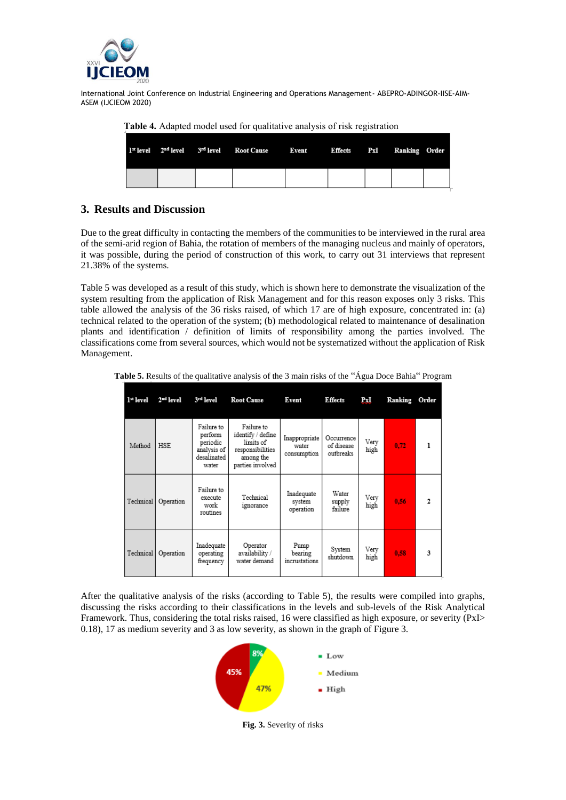

|  | 1 <sup>xt</sup> level 2 <sup>nd</sup> level 3 <sup>rd</sup> level Root Cause Event Effects PxI Ranking Order |  |  |  |
|--|--------------------------------------------------------------------------------------------------------------|--|--|--|
|  |                                                                                                              |  |  |  |

 **Table 4.** Adapted model used for qualitative analysis of risk registration

# **3. Results and Discussion**

Due to the great difficulty in contacting the members of the communities to be interviewed in the rural area of the semi-arid region of Bahia, the rotation of members of the managing nucleus and mainly of operators, it was possible, during the period of construction of this work, to carry out 31 interviews that represent 21.38% of the systems.

Table 5 was developed as a result of this study, which is shown here to demonstrate the visualization of the system resulting from the application of Risk Management and for this reason exposes only 3 risks. This table allowed the analysis of the 36 risks raised, of which 17 are of high exposure, concentrated in: (a) technical related to the operation of the system; (b) methodological related to maintenance of desalination plants and identification / definition of limits of responsibility among the parties involved. The classifications come from several sources, which would not be systematized without the application of Risk Management.

| $1st$ level | $2nd$ level | 3rd level                                                                | <b>Root Cause</b>                                                                                 | Event                                 | <b>Effects</b>                        | PxI          | Ranking | Order        |
|-------------|-------------|--------------------------------------------------------------------------|---------------------------------------------------------------------------------------------------|---------------------------------------|---------------------------------------|--------------|---------|--------------|
| Method      | <b>HSE</b>  | Failure to<br>perform<br>periodic<br>analysis of<br>desalinated<br>water | Failure to<br>identify / define<br>limits of<br>responsibilities<br>among the<br>parties involved | Inappropriate<br>water<br>consumption | Occurrence<br>of disease<br>outbreaks | Very<br>high | 0.72    |              |
| Technical   | Operation   | Failure to<br>execute<br>work<br>routines                                | Technical<br>ignorance                                                                            | Inadequate<br>system<br>operation     | Water<br>supply<br>failure            | Very<br>high | 0.56    | $\mathbf{2}$ |
| Technical   | Operation   | Inadequate<br>operating<br>frequency                                     | Operator<br>availability /<br>water demand                                                        | Pump<br>bearing<br>incrustations      | System<br>shutdown                    | Very<br>high | 0.58    | 3            |

**Table 5.** Results of the qualitative analysis of the 3 main risks of the "Água Doce Bahia" Program

After the qualitative analysis of the risks (according to Table 5), the results were compiled into graphs, discussing the risks according to their classifications in the levels and sub-levels of the Risk Analytical Framework. Thus, considering the total risks raised, 16 were classified as high exposure, or severity (PxI> 0.18), 17 as medium severity and 3 as low severity, as shown in the graph of Figure 3.



**Fig. 3.** Severity of risks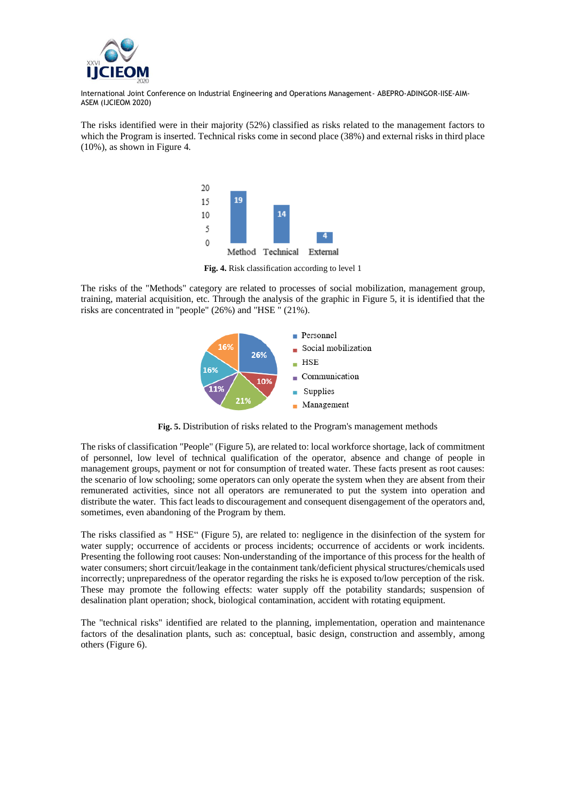

The risks identified were in their majority (52%) classified as risks related to the management factors to which the Program is inserted. Technical risks come in second place (38%) and external risks in third place (10%), as shown in Figure 4.



**Fig. 4.** Risk classification according to level 1

The risks of the "Methods" category are related to processes of social mobilization, management group, training, material acquisition, etc. Through the analysis of the graphic in Figure 5, it is identified that the risks are concentrated in "people" (26%) and "HSE " (21%).



 **Fig. 5.** Distribution of risks related to the Program's management methods

The risks of classification "People" (Figure 5), are related to: local workforce shortage, lack of commitment of personnel, low level of technical qualification of the operator, absence and change of people in management groups, payment or not for consumption of treated water. These facts present as root causes: the scenario of low schooling; some operators can only operate the system when they are absent from their remunerated activities, since not all operators are remunerated to put the system into operation and distribute the water. This fact leads to discouragement and consequent disengagement of the operators and, sometimes, even abandoning of the Program by them.

The risks classified as " HSE" (Figure 5), are related to: negligence in the disinfection of the system for water supply; occurrence of accidents or process incidents; occurrence of accidents or work incidents. Presenting the following root causes: Non-understanding of the importance of this process for the health of water consumers; short circuit/leakage in the containment tank/deficient physical structures/chemicals used incorrectly; unpreparedness of the operator regarding the risks he is exposed to/low perception of the risk. These may promote the following effects: water supply off the potability standards; suspension of desalination plant operation; shock, biological contamination, accident with rotating equipment.

The "technical risks" identified are related to the planning, implementation, operation and maintenance factors of the desalination plants, such as: conceptual, basic design, construction and assembly, among others (Figure 6).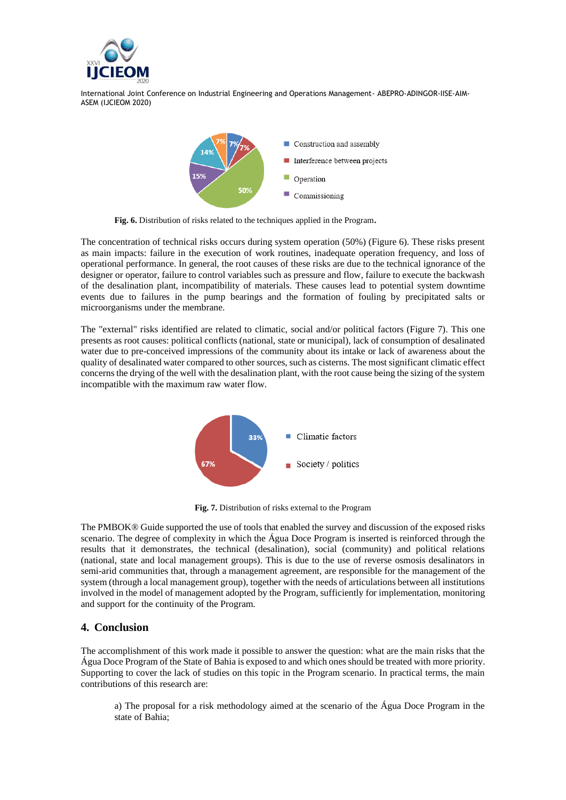



**Fig. 6.** Distribution of risks related to the techniques applied in the Program**.**

The concentration of technical risks occurs during system operation (50%) (Figure 6). These risks present as main impacts: failure in the execution of work routines, inadequate operation frequency, and loss of operational performance. In general, the root causes of these risks are due to the technical ignorance of the designer or operator, failure to control variables such as pressure and flow, failure to execute the backwash of the desalination plant, incompatibility of materials. These causes lead to potential system downtime events due to failures in the pump bearings and the formation of fouling by precipitated salts or microorganisms under the membrane.

The "external" risks identified are related to climatic, social and/or political factors (Figure 7). This one presents as root causes: political conflicts (national, state or municipal), lack of consumption of desalinated water due to pre-conceived impressions of the community about its intake or lack of awareness about the quality of desalinated water compared to other sources, such as cisterns. The most significant climatic effect concerns the drying of the well with the desalination plant, with the root cause being the sizing of the system incompatible with the maximum raw water flow.



**Fig. 7.** Distribution of risks external to the Program

The PMBOK® Guide supported the use of tools that enabled the survey and discussion of the exposed risks scenario. The degree of complexity in which the Água Doce Program is inserted is reinforced through the results that it demonstrates, the technical (desalination), social (community) and political relations (national, state and local management groups). This is due to the use of reverse osmosis desalinators in semi-arid communities that, through a management agreement, are responsible for the management of the system (through a local management group), together with the needs of articulations between all institutions involved in the model of management adopted by the Program, sufficiently for implementation, monitoring and support for the continuity of the Program.

## **4. Conclusion**

The accomplishment of this work made it possible to answer the question: what are the main risks that the Água Doce Program of the State of Bahia is exposed to and which ones should be treated with more priority. Supporting to cover the lack of studies on this topic in the Program scenario. In practical terms, the main contributions of this research are:

a) The proposal for a risk methodology aimed at the scenario of the Água Doce Program in the state of Bahia;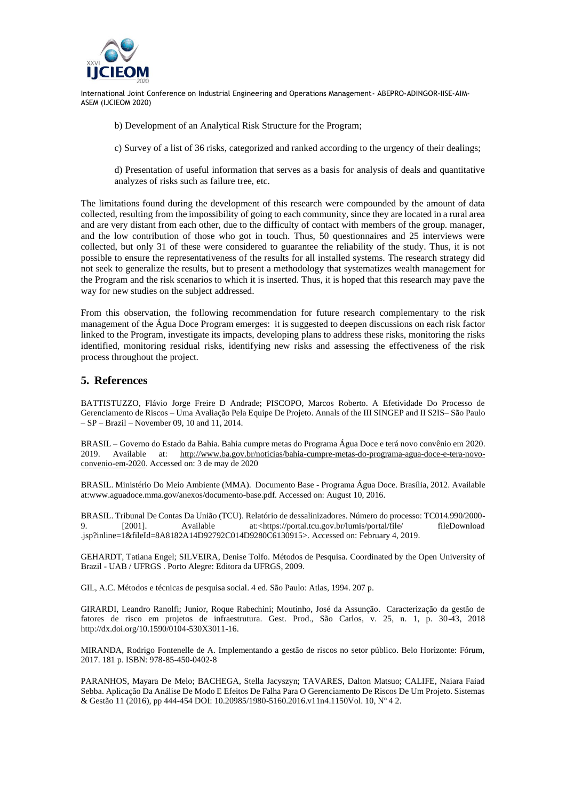

- b) Development of an Analytical Risk Structure for the Program;
- c) Survey of a list of 36 risks, categorized and ranked according to the urgency of their dealings;

d) Presentation of useful information that serves as a basis for analysis of deals and quantitative analyzes of risks such as failure tree, etc.

The limitations found during the development of this research were compounded by the amount of data collected, resulting from the impossibility of going to each community, since they are located in a rural area and are very distant from each other, due to the difficulty of contact with members of the group. manager, and the low contribution of those who got in touch. Thus, 50 questionnaires and 25 interviews were collected, but only 31 of these were considered to guarantee the reliability of the study. Thus, it is not possible to ensure the representativeness of the results for all installed systems. The research strategy did not seek to generalize the results, but to present a methodology that systematizes wealth management for the Program and the risk scenarios to which it is inserted. Thus, it is hoped that this research may pave the way for new studies on the subject addressed.

From this observation, the following recommendation for future research complementary to the risk management of the Água Doce Program emerges: it is suggested to deepen discussions on each risk factor linked to the Program, investigate its impacts, developing plans to address these risks, monitoring the risks identified, monitoring residual risks, identifying new risks and assessing the effectiveness of the risk process throughout the project.

## **5. References**

BATTISTUZZO, Flávio Jorge Freire D Andrade; PISCOPO, Marcos Roberto. A Efetividade Do Processo de Gerenciamento de Riscos – Uma Avaliação Pela Equipe De Projeto. Annals of the III SINGEP and II S2IS– São Paulo – SP – Brazil – November 09, 10 and 11, 2014.

BRASIL – Governo do Estado da Bahia. Bahia cumpre metas do Programa Água Doce e terá novo convênio em 2020. 2019. Available at: [http://www.ba.gov.br/noticias/bahia-cumpre-metas-do-programa-agua-doce-e-tera-novo](http://www.ba.gov.br/noticias/bahia-cumpre-metas-do-programa-agua-doce-e-tera-novo-convenio-em-2020)[convenio-em-2020.](http://www.ba.gov.br/noticias/bahia-cumpre-metas-do-programa-agua-doce-e-tera-novo-convenio-em-2020) Accessed on: 3 de may de 2020

BRASIL. Ministério Do Meio Ambiente (MMA). Documento Base - Programa Água Doce. Brasília, 2012. Available at:www.aguadoce.mma.gov/anexos/documento-base.pdf. Accessed on: August 10, 2016.

BRASIL. Tribunal De Contas Da União (TCU). Relatório de dessalinizadores. Número do processo: TC014.990/2000- 9. [2001]. Available at:<https://portal.tcu.gov.br/lumis/portal/file/ fileDownload .jsp?inline=1&fileId=8A8182A14D92792C014D9280C6130915>. Accessed on: February 4, 2019.

GEHARDT, Tatiana Engel; SILVEIRA, Denise Tolfo. Métodos de Pesquisa. Coordinated by the Open University of Brazil - UAB / UFRGS . Porto Alegre: Editora da UFRGS, 2009.

GIL, A.C. Métodos e técnicas de pesquisa social. 4 ed. São Paulo: Atlas, 1994. 207 p.

GIRARDI, Leandro Ranolfi; Junior, Roque Rabechini; Moutinho, José da Assunção. Caracterização da gestão de fatores de risco em projetos de infraestrutura. Gest. Prod., São Carlos, v. 25, n. 1, p. 30-43, 2018 http://dx.doi.org/10.1590/0104-530X3011-16.

MIRANDA, Rodrigo Fontenelle de A. Implementando a gestão de riscos no setor público. Belo Horizonte: Fórum, 2017. 181 p. ISBN: 978-85-450-0402-8

PARANHOS, Mayara De Melo; BACHEGA, Stella Jacyszyn; TAVARES, Dalton Matsuo; CALIFE, Naiara Faiad Sebba. Aplicação Da Análise De Modo E Efeitos De Falha Para O Gerenciamento De Riscos De Um Projeto. Sistemas & Gestão 11 (2016), pp 444-454 DOI: 10.20985/1980-5160.2016.v11n4.1150Vol. 10, Nº 4 2.